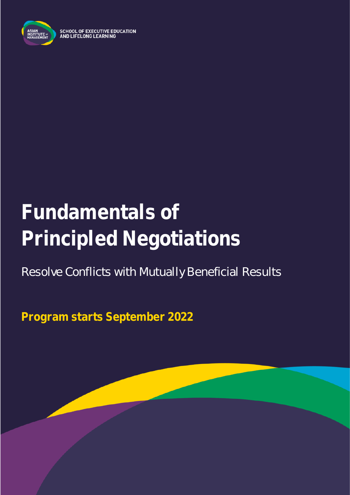

**SCHOOL OF EXECUTIVE EDUCATION** AND LIFELONG LEARNING

# **Fundamentals of Principled Negotiations**

### Resolve Conflicts with Mutually Beneficial Results

**Program starts September 2022**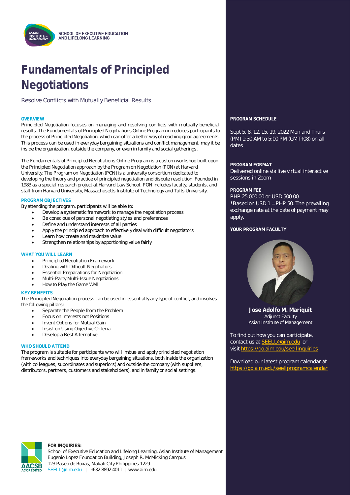## **Fundamentals of Principled Negotiations**

Resolve Conflicts with Mutually Beneficial Results

Principled Negotiation focuses on managing and resolving conflicts with mutually beneficial results. The Fundamentals of Principled Negotiations Online Program introduces participants to the process of Principled Negotiation, which can offer a better way of reaching good agreements. This process can be used in everyday bargaining situations and conflict management, may it be inside the organization, outside the company, or even in family and social gatherings.

The Fundamentals of Principled Negotiations Online Program is a custom workshop built upon the Principled Negotiation approach by the Program on Negotiation (PON) at Harvard University. The Program on Negotiation (PON) is a university consortium dedicated to developing the theory and practice of principled negotiation and dispute resolution. Founded in 1983 as a special research project at Harvard Law School, PON includes faculty, students, and staff from Harvard University, Massachusetts Institute of Technology and Tufts University.

#### **PROGRAM OBJECTIVES**

By attending the program, participants will be able to:

- Develop a systematic framework to manage the negotiation process
- Be conscious of personal negotiating styles and preferences
- Define and understand interests of all parties
- Apply the principled approach to effectively deal with difficult negotiators
- Learn how create and maximize value
- Strengthen relationships by apportioning value fairly

#### **WHAT YOU WILL LEARN**

- Principled Negotiation Framework
- Dealing with Difficult Negotiators
- Essential Preparations for Negotiation
- Multi-Party Multi-Issue Negotiations
- How to Play the Game Well

#### **KEY BENEFITS**

The Principled Negotiation process can be used in essentially any type of conflict, and involves the following pillars:

- Separate the People from the Problem
- Focus on Interests not Positions
- Invent Options for Mutual Gain
- Insist on Using Objective Criteria
- Develop a Best Alternative

#### **WHO SHOULD ATTEND**

The program is suitable for participants who will imbue and apply principled negotiation frameworks and techniques into everyday bargaining situations, both inside the organization (with colleagues, subordinates and superiors) and outside the company (with suppliers, distributors, partners, customers and stakeholders), and in family or social settings.

### **OVERVIEW PROGRAM SCHEDULE**

Sept 5, 8, 12, 15, 19, 2022 Mon and Thurs (PM) 1:30 AM to 5:00 PM (GMT+08) on all dates

#### **PROGRAM FORMAT**

Delivered online via live virtual interactive sessions in Zoom

#### **PROGRAM FEE**

PHP 25,000.00 or USD 500.00 \*Based on USD 1 = PHP 50. The prevailing exchange rate at the date of payment may apply.

**YOUR PROGRAM FACULTY**



**Jose Adolfo M. Mariquit** Adjunct Faculty Asian Institute of Management

To find out how you can participate, contact us at **SEELL@aim.edu** or visit<https://go.aim.edu/seellinquiries>

Download our latest program calendar at <https://go.aim.edu/seellprogramcalendar>



#### **FOR INQUIRIES:**

School of Executive Education and Lifelong Learning, Asian Institute of Management Eugenio Lopez Foundation Building, Joseph R. McMicking Campus 123 Paseo de Roxas, Makati City Philippines 1229 [SEELL@aim.edu](mailto:SEELL@aim.edu) | +632 8892 4011 | www.aim.edu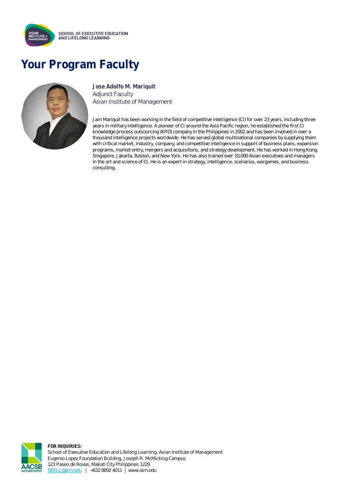

### **Your Program Faculty**



**Jose Adolfo M. Mariquit** Adjunct Faculty Asian Institute of Management

Jam Mariquit has been working in the field of competitive intelligence (CI) for over 23 years, including three years in military intelligence. A pioneer of CI around the Asia Pacific region, he established the first CI knowledge process outsourcing (KPO) company in the Philippines in 2002 and has been involved in over a thousand intelligence projects worldwide. He has served global multinational companies by supplying them with critical market, Industry, company, and competitive intelligence in support of business plans, expansion programs, market entry, mergers and acquisitions, and strategy development. He has worked in Hong Kong, Singapore, Jakarta, Boston, and New York. He has also trained over 10,000 Asian executives and managers in the art and science of CI. He is an expert in strategy, intelligence, scenarios, wargames, and business consulting.



**FOR INQUIRIES:** School of Executive Education and Lifelong Learning, Asian Institute of Management Eugenio Lopez Foundation Building, Joseph R. McMicking Campus 123 Paseo de Roxas, Makati City Philippines 1229 [SEELL@aim.edu](mailto:SEELL@aim.edu) | +632 8892 4011 | www.aim.edu